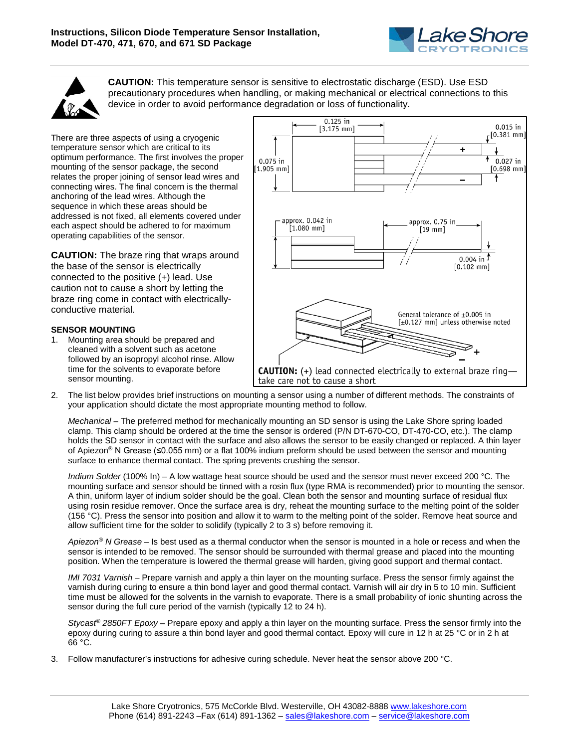



**CAUTION:** This temperature sensor is sensitive to electrostatic discharge (ESD). Use ESD precautionary procedures when handling, or making mechanical or electrical connections to this device in order to avoid performance degradation or loss of functionality.

There are three aspects of using a cryogenic temperature sensor which are critical to its optimum performance. The first involves the proper mounting of the sensor package, the second relates the proper joining of sensor lead wires and connecting wires. The final concern is the thermal anchoring of the lead wires. Although the sequence in which these areas should be addressed is not fixed, all elements covered under each aspect should be adhered to for maximum operating capabilities of the sensor.

**CAUTION:** The braze ring that wraps around the base of the sensor is electrically connected to the positive (+) lead. Use caution not to cause a short by letting the braze ring come in contact with electricallyconductive material.

## **SENSOR MOUNTING**

1. Mounting area should be prepared and cleaned with a solvent such as acetone followed by an isopropyl alcohol rinse. Allow time for the solvents to evaporate before sensor mounting.



2. The list below provides brief instructions on mounting a sensor using a number of different methods. The constraints of your application should dictate the most appropriate mounting method to follow.

*Mechanical* – The preferred method for mechanically mounting an SD sensor is using the Lake Shore spring loaded clamp. This clamp should be ordered at the time the sensor is ordered (P/N DT-670-CO, DT-470-CO, etc.). The clamp holds the SD sensor in contact with the surface and also allows the sensor to be easily changed or replaced. A thin layer of Apiezon® N Grease (≤0.055 mm) or a flat 100% indium preform should be used between the sensor and mounting surface to enhance thermal contact. The spring prevents crushing the sensor.

*Indium Solder* (100% In) – A low wattage heat source should be used and the sensor must never exceed 200 °C. The mounting surface and sensor should be tinned with a rosin flux (type RMA is recommended) prior to mounting the sensor. A thin, uniform layer of indium solder should be the goal. Clean both the sensor and mounting surface of residual flux using rosin residue remover. Once the surface area is dry, reheat the mounting surface to the melting point of the solder (156 °C). Press the sensor into position and allow it to warm to the melting point of the solder. Remove heat source and allow sufficient time for the solder to solidify (typically 2 to 3 s) before removing it.

*Apiezon® N Grease* – Is best used as a thermal conductor when the sensor is mounted in a hole or recess and when the sensor is intended to be removed. The sensor should be surrounded with thermal grease and placed into the mounting position. When the temperature is lowered the thermal grease will harden, giving good support and thermal contact.

*IMI 7031 Varnish* – Prepare varnish and apply a thin layer on the mounting surface. Press the sensor firmly against the varnish during curing to ensure a thin bond layer and good thermal contact. Varnish will air dry in 5 to 10 min. Sufficient time must be allowed for the solvents in the varnish to evaporate. There is a small probability of ionic shunting across the sensor during the full cure period of the varnish (typically 12 to 24 h).

*Stycast® 2850FT Epoxy* – Prepare epoxy and apply a thin layer on the mounting surface. Press the sensor firmly into the epoxy during curing to assure a thin bond layer and good thermal contact. Epoxy will cure in 12 h at 25 °C or in 2 h at 66 °C.

3. Follow manufacturer's instructions for adhesive curing schedule. Never heat the sensor above 200 °C.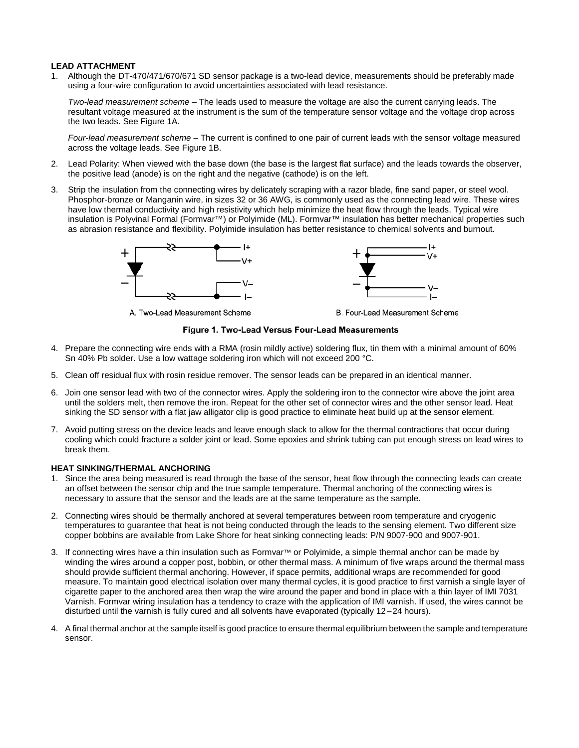## **LEAD ATTACHMENT**

1. Although the DT-470/471/670/671 SD sensor package is a two-lead device, measurements should be preferably made using a four-wire configuration to avoid uncertainties associated with lead resistance.

*Two-lead measurement scheme* – The leads used to measure the voltage are also the current carrying leads. The resultant voltage measured at the instrument is the sum of the temperature sensor voltage and the voltage drop across the two leads. See Figure 1A.

*Four-lead measurement scheme* – The current is confined to one pair of current leads with the sensor voltage measured across the voltage leads. See Figure 1B.

- 2. Lead Polarity: When viewed with the base down (the base is the largest flat surface) and the leads towards the observer, the positive lead (anode) is on the right and the negative (cathode) is on the left.
- 3. Strip the insulation from the connecting wires by delicately scraping with a razor blade, fine sand paper, or steel wool. Phosphor-bronze or Manganin wire, in sizes 32 or 36 AWG, is commonly used as the connecting lead wire. These wires have low thermal conductivity and high resistivity which help minimize the heat flow through the leads. Typical wire insulation is Polyvinal Formal (Formvar™) or Polyimide (ML). Formvar™ insulation has better mechanical properties such as abrasion resistance and flexibility. Polyimide insulation has better resistance to chemical solvents and burnout.



A. Two-Lead Measurement Scheme

B. Four-Lead Measurement Scheme

## Figure 1. Two-Lead Versus Four-Lead Measurements

- 4. Prepare the connecting wire ends with a RMA (rosin mildly active) soldering flux, tin them with a minimal amount of 60% Sn 40% Pb solder. Use a low wattage soldering iron which will not exceed 200 °C.
- 5. Clean off residual flux with rosin residue remover. The sensor leads can be prepared in an identical manner.
- 6. Join one sensor lead with two of the connector wires. Apply the soldering iron to the connector wire above the joint area until the solders melt, then remove the iron. Repeat for the other set of connector wires and the other sensor lead. Heat sinking the SD sensor with a flat jaw alligator clip is good practice to eliminate heat build up at the sensor element.
- 7. Avoid putting stress on the device leads and leave enough slack to allow for the thermal contractions that occur during cooling which could fracture a solder joint or lead. Some epoxies and shrink tubing can put enough stress on lead wires to break them.

## **HEAT SINKING/THERMAL ANCHORING**

- 1. Since the area being measured is read through the base of the sensor, heat flow through the connecting leads can create an offset between the sensor chip and the true sample temperature. Thermal anchoring of the connecting wires is necessary to assure that the sensor and the leads are at the same temperature as the sample.
- 2. Connecting wires should be thermally anchored at several temperatures between room temperature and cryogenic temperatures to guarantee that heat is not being conducted through the leads to the sensing element. Two different size copper bobbins are available from Lake Shore for heat sinking connecting leads: P/N 9007-900 and 9007-901.
- 3. If connecting wires have a thin insulation such as Formvar™ or Polyimide, a simple thermal anchor can be made by winding the wires around a copper post, bobbin, or other thermal mass. A minimum of five wraps around the thermal mass should provide sufficient thermal anchoring. However, if space permits, additional wraps are recommended for good measure. To maintain good electrical isolation over many thermal cycles, it is good practice to first varnish a single layer of cigarette paper to the anchored area then wrap the wire around the paper and bond in place with a thin layer of IMI 7031 Varnish. Formvar wiring insulation has a tendency to craze with the application of IMI varnish. If used, the wires cannot be disturbed until the varnish is fully cured and all solvents have evaporated (typically 12–24 hours).
- 4. A final thermal anchor at the sample itself is good practice to ensure thermal equilibrium between the sample and temperature sensor.